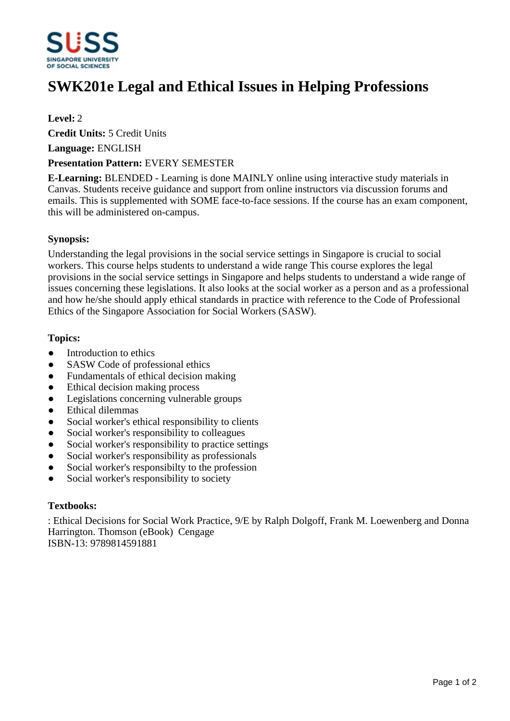

# **SWK201e Legal and Ethical Issues in Helping Professions**

### **Level:** 2

**Credit Units:** 5 Credit Units

**Language:** ENGLISH

#### **Presentation Pattern:** EVERY SEMESTER

**E-Learning:** BLENDED - Learning is done MAINLY online using interactive study materials in Canvas. Students receive guidance and support from online instructors via discussion forums and emails. This is supplemented with SOME face-to-face sessions. If the course has an exam component, this will be administered on-campus.

#### **Synopsis:**

Understanding the legal provisions in the social service settings in Singapore is crucial to social workers. This course helps students to understand a wide range This course explores the legal provisions in the social service settings in Singapore and helps students to understand a wide range of issues concerning these legislations. It also looks at the social worker as a person and as a professional and how he/she should apply ethical standards in practice with reference to the Code of Professional Ethics of the Singapore Association for Social Workers (SASW).

#### **Topics:**

- Introduction to ethics
- SASW Code of professional ethics
- Fundamentals of ethical decision making
- Ethical decision making process
- Legislations concerning vulnerable groups
- Ethical dilemmas
- Social worker's ethical responsibility to clients
- Social worker's responsibility to colleagues
- Social worker's responsibility to practice settings
- Social worker's responsibility as professionals
- Social worker's responsibilty to the profession
- Social worker's responsibility to society

### **Textbooks:**

: Ethical Decisions for Social Work Practice, 9/E by Ralph Dolgoff, Frank M. Loewenberg and Donna Harrington. Thomson (eBook) Cengage ISBN-13: 9789814591881